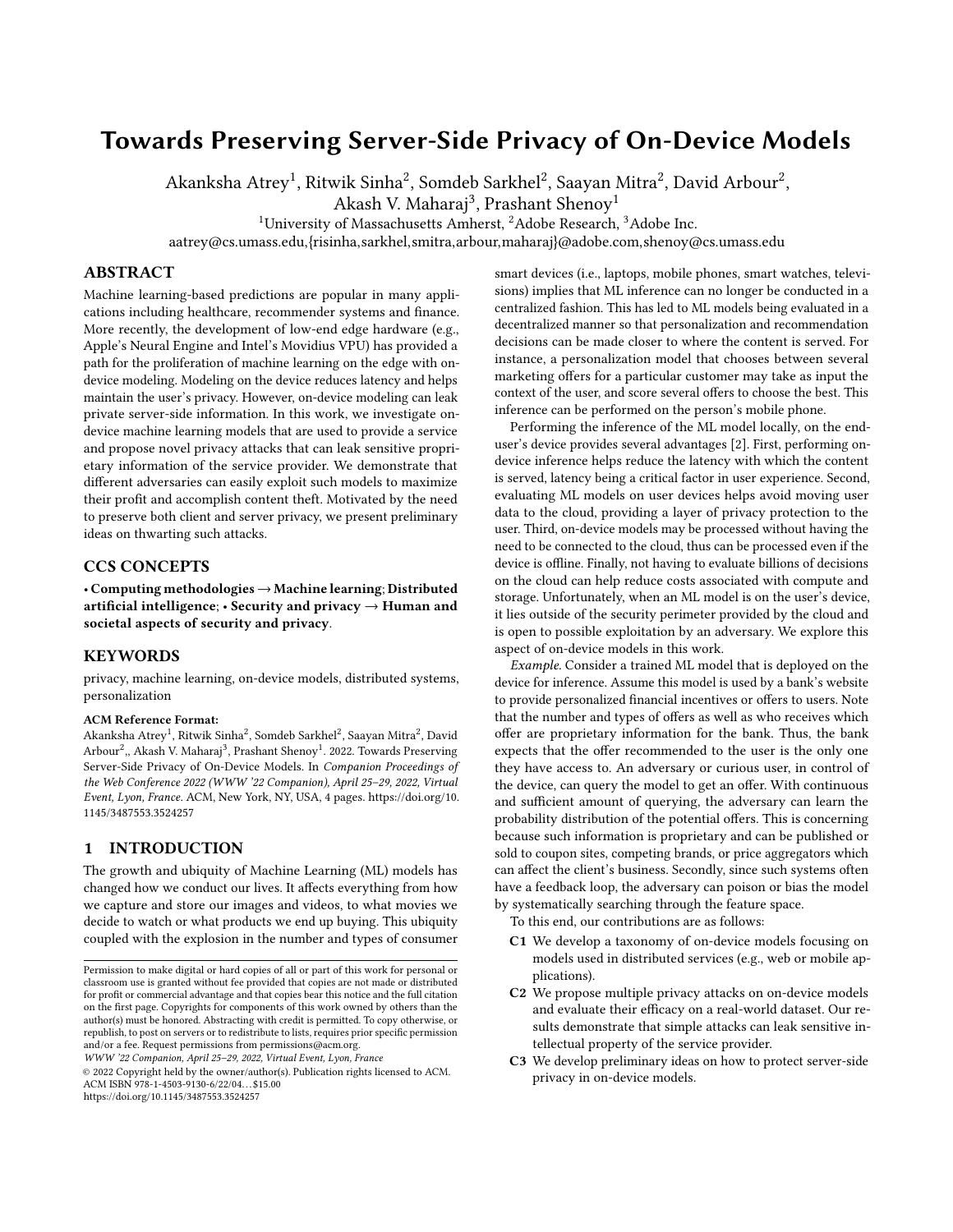# Towards Preserving Server-Side Privacy of On-Device Models

Akanksha Atrey<sup>1</sup>, Ritwik Sinha<sup>2</sup>, Somdeb Sarkhel<sup>2</sup>, Saayan Mitra<sup>2</sup>, David Arbour<sup>2</sup>,

Akash V. Maharaj $^3$ , Prashant Shenoy $^1$ 

<sup>1</sup>University of Massachusetts Amherst, <sup>2</sup>Adobe Research, <sup>3</sup>Adobe Inc.

aatrey@cs.umass.edu,{risinha,sarkhel,smitra,arbour,maharaj}@adobe.com,shenoy@cs.umass.edu

### ABSTRACT

Machine learning-based predictions are popular in many applications including healthcare, recommender systems and finance. More recently, the development of low-end edge hardware (e.g., Apple's Neural Engine and Intel's Movidius VPU) has provided a path for the proliferation of machine learning on the edge with ondevice modeling. Modeling on the device reduces latency and helps maintain the user's privacy. However, on-device modeling can leak private server-side information. In this work, we investigate ondevice machine learning models that are used to provide a service and propose novel privacy attacks that can leak sensitive proprietary information of the service provider. We demonstrate that different adversaries can easily exploit such models to maximize their profit and accomplish content theft. Motivated by the need to preserve both client and server privacy, we present preliminary ideas on thwarting such attacks.

### CCS CONCEPTS

• Computing methodologies→Machine learning; Distributed artificial intelligence;  $\cdot$  Security and privacy  $\rightarrow$  Human and societal aspects of security and privacy.

### **KEYWORDS**

privacy, machine learning, on-device models, distributed systems, personalization

#### ACM Reference Format:

Akanksha Atrey<sup>1</sup>, Ritwik Sinha<sup>2</sup>, Somdeb Sarkhel<sup>2</sup>, Saayan Mitra<sup>2</sup>, David Arbour<sup>2</sup>,, Akash V. Maharaj<sup>3</sup>, Prashant Shenoy<sup>1</sup>. 2022. Towards Preserving Server-Side Privacy of On-Device Models. In Companion Proceedings of the Web Conference 2022 (WWW '22 Companion), April 25–29, 2022, Virtual Event, Lyon, France. ACM, New York, NY, USA, [4](#page-3-0) pages. [https://doi.org/10.](https://doi.org/10.1145/3487553.3524257) [1145/3487553.3524257](https://doi.org/10.1145/3487553.3524257)

# 1 INTRODUCTION

The growth and ubiquity of Machine Learning (ML) models has changed how we conduct our lives. It affects everything from how we capture and store our images and videos, to what movies we decide to watch or what products we end up buying. This ubiquity coupled with the explosion in the number and types of consumer

WWW '22 Companion, April 25–29, 2022, Virtual Event, Lyon, France

© 2022 Copyright held by the owner/author(s). Publication rights licensed to ACM. ACM ISBN 978-1-4503-9130-6/22/04. . . \$15.00 <https://doi.org/10.1145/3487553.3524257>

smart devices (i.e., laptops, mobile phones, smart watches, televisions) implies that ML inference can no longer be conducted in a centralized fashion. This has led to ML models being evaluated in a decentralized manner so that personalization and recommendation decisions can be made closer to where the content is served. For instance, a personalization model that chooses between several marketing offers for a particular customer may take as input the context of the user, and score several offers to choose the best. This inference can be performed on the person's mobile phone.

Performing the inference of the ML model locally, on the enduser's device provides several advantages [\[2\]](#page-3-1). First, performing ondevice inference helps reduce the latency with which the content is served, latency being a critical factor in user experience. Second, evaluating ML models on user devices helps avoid moving user data to the cloud, providing a layer of privacy protection to the user. Third, on-device models may be processed without having the need to be connected to the cloud, thus can be processed even if the device is offline. Finally, not having to evaluate billions of decisions on the cloud can help reduce costs associated with compute and storage. Unfortunately, when an ML model is on the user's device, it lies outside of the security perimeter provided by the cloud and is open to possible exploitation by an adversary. We explore this aspect of on-device models in this work.

Example. Consider a trained ML model that is deployed on the device for inference. Assume this model is used by a bank's website to provide personalized financial incentives or offers to users. Note that the number and types of offers as well as who receives which offer are proprietary information for the bank. Thus, the bank expects that the offer recommended to the user is the only one they have access to. An adversary or curious user, in control of the device, can query the model to get an offer. With continuous and sufficient amount of querying, the adversary can learn the probability distribution of the potential offers. This is concerning because such information is proprietary and can be published or sold to coupon sites, competing brands, or price aggregators which can affect the client's business. Secondly, since such systems often have a feedback loop, the adversary can poison or bias the model by systematically searching through the feature space.

To this end, our contributions are as follows:

- C1 We develop a taxonomy of on-device models focusing on models used in distributed services (e.g., web or mobile applications).
- C2 We propose multiple privacy attacks on on-device models and evaluate their efficacy on a real-world dataset. Our results demonstrate that simple attacks can leak sensitive intellectual property of the service provider.
- C3 We develop preliminary ideas on how to protect server-side privacy in on-device models.

Permission to make digital or hard copies of all or part of this work for personal or classroom use is granted without fee provided that copies are not made or distributed for profit or commercial advantage and that copies bear this notice and the full citation on the first page. Copyrights for components of this work owned by others than the author(s) must be honored. Abstracting with credit is permitted. To copy otherwise, or republish, to post on servers or to redistribute to lists, requires prior specific permission and/or a fee. Request permissions from permissions@acm.org.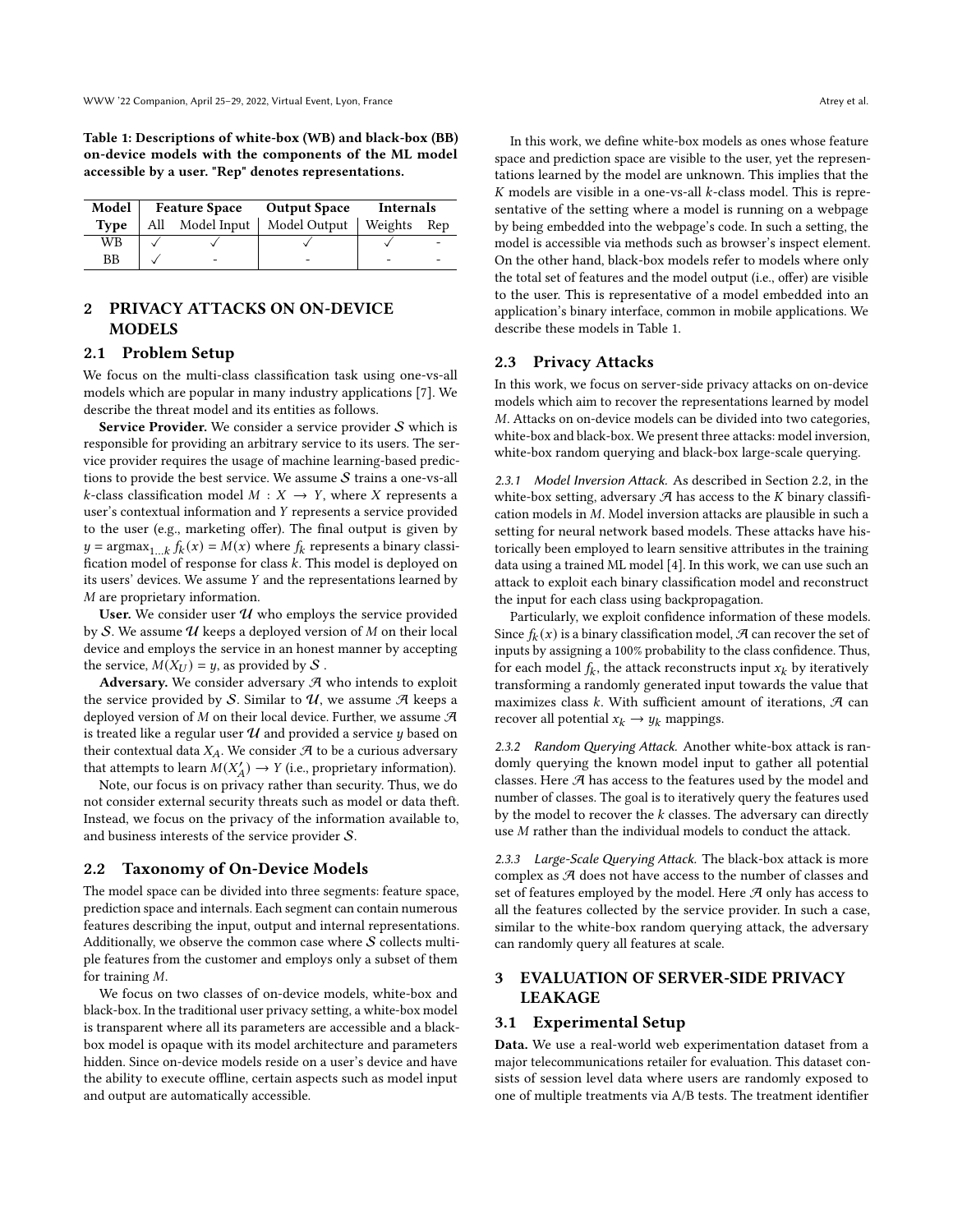<span id="page-1-0"></span>Table 1: Descriptions of white-box (WB) and black-box (BB) on-device models with the components of the ML model accessible by a user. "Rep" denotes representations.

| Model       | <b>Feature Space Output Space</b> |                          |                                              | Internals |  |
|-------------|-----------------------------------|--------------------------|----------------------------------------------|-----------|--|
| <b>Type</b> |                                   |                          | All Model Input   Model Output   Weights Rep |           |  |
| WB          |                                   |                          |                                              |           |  |
| <b>BB</b>   |                                   | $\overline{\phantom{0}}$ |                                              |           |  |

# 2 PRIVACY ATTACKS ON ON-DEVICE MODELS

### 2.1 Problem Setup

We focus on the multi-class classification task using one-vs-all models which are popular in many industry applications [\[7\]](#page-3-2). We describe the threat model and its entities as follows.

Service Provider. We consider a service provider  $S$  which is responsible for providing an arbitrary service to its users. The service provider requires the usage of machine learning-based predictions to provide the best service. We assume  $S$  trains a one-vs-all  $k$ -class classification model  $M : X \rightarrow Y$ , where X represents a user's contextual information and Y represents a service provided to the user (e.g., marketing offer). The final output is given by  $y = \text{argmax}_{1...k} f_k(x) = M(x)$  where  $f_k$  represents a binary classification model of response for class  $k$ . This model is deployed on its users' devices. We assume  $Y$  and the representations learned by  $M$  are proprietary information.

User. We consider user  $U$  who employs the service provided by  $S$ . We assume  $U$  keeps a deployed version of  $M$  on their local device and employs the service in an honest manner by accepting the service,  $M(X_U) = y$ , as provided by S.

Adversary. We consider adversary  $A$  who intends to exploit the service provided by S. Similar to  $U$ , we assume  $\mathcal A$  keeps a deployed version of  $M$  on their local device. Further, we assume  $\mathcal A$ is treated like a regular user  $\mathcal U$  and provided a service  $y$  based on their contextual data  $X_A$ . We consider  $A$  to be a curious adversary that attempts to learn  $M(X'_A) \to Y$  (i.e., proprietary information).

Note, our focus is on privacy rather than security. Thus, we do not consider external security threats such as model or data theft. Instead, we focus on the privacy of the information available to, and business interests of the service provider S.

### <span id="page-1-1"></span>2.2 Taxonomy of On-Device Models

The model space can be divided into three segments: feature space, prediction space and internals. Each segment can contain numerous features describing the input, output and internal representations. Additionally, we observe the common case where  $S$  collects multiple features from the customer and employs only a subset of them for training  $M$ .

We focus on two classes of on-device models, white-box and black-box. In the traditional user privacy setting, a white-box model is transparent where all its parameters are accessible and a blackbox model is opaque with its model architecture and parameters hidden. Since on-device models reside on a user's device and have the ability to execute offline, certain aspects such as model input and output are automatically accessible.

In this work, we define white-box models as ones whose feature space and prediction space are visible to the user, yet the representations learned by the model are unknown. This implies that the  $K$  models are visible in a one-vs-all  $k$ -class model. This is representative of the setting where a model is running on a webpage by being embedded into the webpage's code. In such a setting, the model is accessible via methods such as browser's inspect element. On the other hand, black-box models refer to models where only the total set of features and the model output (i.e., offer) are visible to the user. This is representative of a model embedded into an application's binary interface, common in mobile applications. We

### <span id="page-1-2"></span>2.3 Privacy Attacks

describe these models in Table [1.](#page-1-0)

In this work, we focus on server-side privacy attacks on on-device models which aim to recover the representations learned by model . Attacks on on-device models can be divided into two categories, white-box and black-box. We present three attacks: model inversion, white-box random querying and black-box large-scale querying.

2.3.1 Model Inversion Attack. As described in Section [2.2,](#page-1-1) in the white-box setting, adversary  $\mathcal A$  has access to the  $K$  binary classification models in  $M$ . Model inversion attacks are plausible in such a setting for neural network based models. These attacks have historically been employed to learn sensitive attributes in the training data using a trained ML model [\[4\]](#page-3-3). In this work, we can use such an attack to exploit each binary classification model and reconstruct the input for each class using backpropagation.

Particularly, we exploit confidence information of these models. Since  $f_k(x)$  is a binary classification model,  ${\mathcal{A}}$  can recover the set of inputs by assigning a 100% probability to the class confidence. Thus, for each model  $f_k$ , the attack reconstructs input  $x_k$  by iteratively transforming a randomly generated input towards the value that maximizes class  $k$ . With sufficient amount of iterations,  $A$  can recover all potential  $x_k \rightarrow y_k$  mappings.

2.3.2 Random Querying Attack. Another white-box attack is randomly querying the known model input to gather all potential classes. Here  $\mathcal A$  has access to the features used by the model and number of classes. The goal is to iteratively query the features used by the model to recover the  $k$  classes. The adversary can directly use  $M$  rather than the individual models to conduct the attack.

2.3.3 Large-Scale Querying Attack. The black-box attack is more complex as  $A$  does not have access to the number of classes and set of features employed by the model. Here  $\mathcal A$  only has access to all the features collected by the service provider. In such a case, similar to the white-box random querying attack, the adversary can randomly query all features at scale.

# 3 EVALUATION OF SERVER-SIDE PRIVACY LEAKAGE

### 3.1 Experimental Setup

Data. We use a real-world web experimentation dataset from a major telecommunications retailer for evaluation. This dataset consists of session level data where users are randomly exposed to one of multiple treatments via A/B tests. The treatment identifier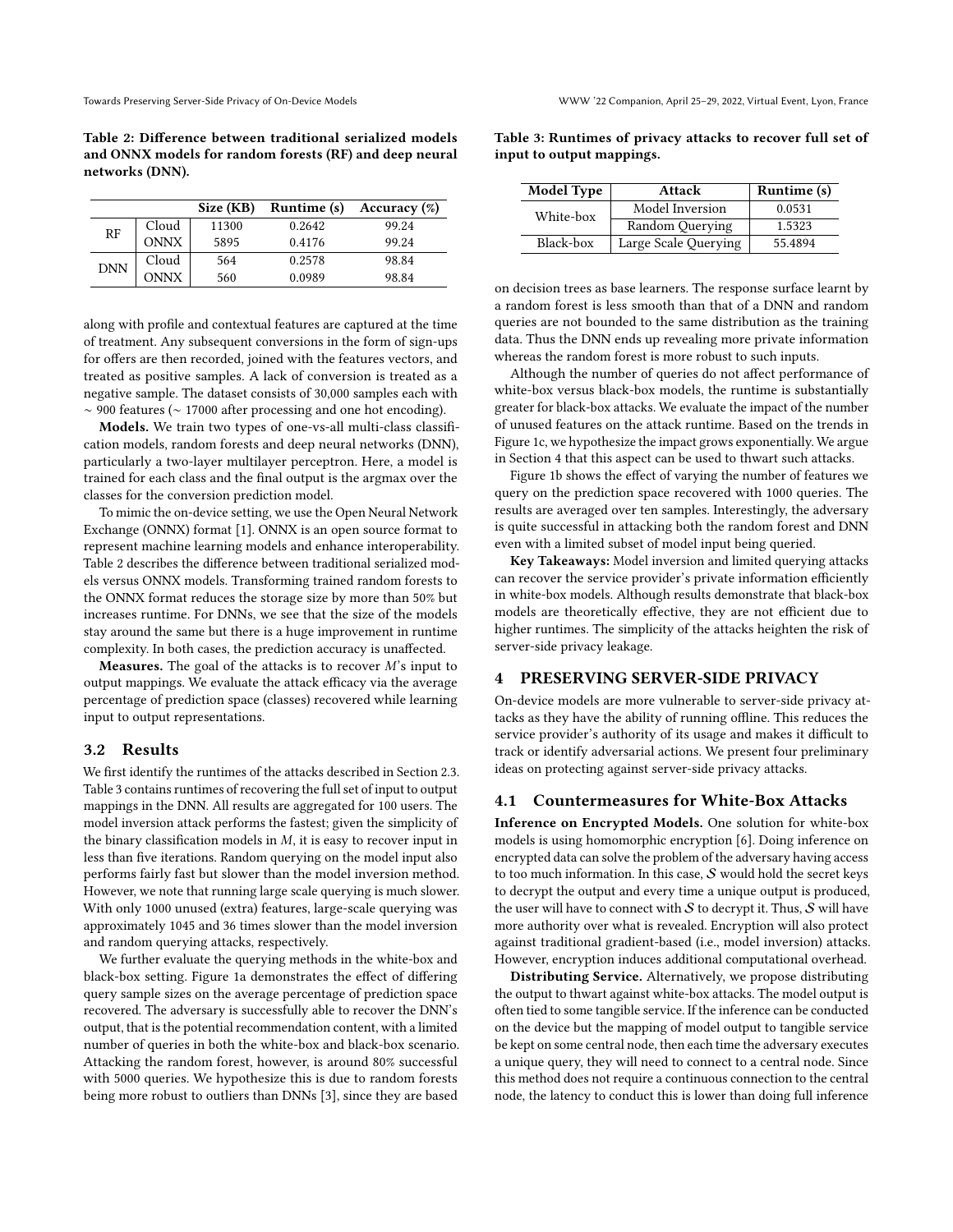<span id="page-2-0"></span>Table 2: Difference between traditional serialized models and ONNX models for random forests (RF) and deep neural networks (DNN).

|            |             | Size (KB) | Runtime (s) | Accuracy $(\%)$ |
|------------|-------------|-----------|-------------|-----------------|
| RF         | Cloud       | 11300     | 0.2642      | 99.24           |
|            | <b>ONNX</b> | 5895      | 0.4176      | 99.24           |
| <b>DNN</b> | Cloud       | 564       | 0.2578      | 98.84           |
|            | <b>ONNX</b> | 560       | 0.0989      | 98.84           |

along with profile and contextual features are captured at the time of treatment. Any subsequent conversions in the form of sign-ups for offers are then recorded, joined with the features vectors, and treated as positive samples. A lack of conversion is treated as a negative sample. The dataset consists of 30,000 samples each with ∼ 900 features (∼ 17000 after processing and one hot encoding).

Models. We train two types of one-vs-all multi-class classification models, random forests and deep neural networks (DNN), particularly a two-layer multilayer perceptron. Here, a model is trained for each class and the final output is the argmax over the classes for the conversion prediction model.

To mimic the on-device setting, we use the Open Neural Network Exchange (ONNX) format [\[1\]](#page-3-4). ONNX is an open source format to represent machine learning models and enhance interoperability. Table [2](#page-2-0) describes the difference between traditional serialized models versus ONNX models. Transforming trained random forests to the ONNX format reduces the storage size by more than 50% but increases runtime. For DNNs, we see that the size of the models stay around the same but there is a huge improvement in runtime complexity. In both cases, the prediction accuracy is unaffected.

**Measures.** The goal of the attacks is to recover  $M$ 's input to output mappings. We evaluate the attack efficacy via the average percentage of prediction space (classes) recovered while learning input to output representations.

### 3.2 Results

We first identify the runtimes of the attacks described in Section [2.3.](#page-1-2) Table [3](#page-2-1) contains runtimes of recovering the full set of input to output mappings in the DNN. All results are aggregated for 100 users. The model inversion attack performs the fastest; given the simplicity of the binary classification models in  $M$ , it is easy to recover input in less than five iterations. Random querying on the model input also performs fairly fast but slower than the model inversion method. However, we note that running large scale querying is much slower. With only 1000 unused (extra) features, large-scale querying was approximately 1045 and 36 times slower than the model inversion and random querying attacks, respectively.

We further evaluate the querying methods in the white-box and black-box setting. Figure [1a](#page-3-5) demonstrates the effect of differing query sample sizes on the average percentage of prediction space recovered. The adversary is successfully able to recover the DNN's output, that is the potential recommendation content, with a limited number of queries in both the white-box and black-box scenario. Attacking the random forest, however, is around 80% successful with 5000 queries. We hypothesize this is due to random forests being more robust to outliers than DNNs [\[3\]](#page-3-6), since they are based

<span id="page-2-1"></span>

| Table 3: Runtimes of privacy attacks to recover full set of |  |  |  |  |
|-------------------------------------------------------------|--|--|--|--|
| input to output mappings.                                   |  |  |  |  |

| <b>Model Type</b> | <b>Attack</b>        | Runtime (s) |  |
|-------------------|----------------------|-------------|--|
| White-box         | Model Inversion      | 0.0531      |  |
|                   | Random Querying      | 1.5323      |  |
| Black-box         | Large Scale Querying | 55.4894     |  |

on decision trees as base learners. The response surface learnt by a random forest is less smooth than that of a DNN and random queries are not bounded to the same distribution as the training data. Thus the DNN ends up revealing more private information whereas the random forest is more robust to such inputs.

Although the number of queries do not affect performance of white-box versus black-box models, the runtime is substantially greater for black-box attacks. We evaluate the impact of the number of unused features on the attack runtime. Based on the trends in Figure [1c,](#page-3-5) we hypothesize the impact grows exponentially. We argue in Section [4](#page-2-2) that this aspect can be used to thwart such attacks.

Figure [1b](#page-3-5) shows the effect of varying the number of features we query on the prediction space recovered with 1000 queries. The results are averaged over ten samples. Interestingly, the adversary is quite successful in attacking both the random forest and DNN even with a limited subset of model input being queried.

Key Takeaways: Model inversion and limited querying attacks can recover the service provider's private information efficiently in white-box models. Although results demonstrate that black-box models are theoretically effective, they are not efficient due to higher runtimes. The simplicity of the attacks heighten the risk of server-side privacy leakage.

# <span id="page-2-2"></span>4 PRESERVING SERVER-SIDE PRIVACY

On-device models are more vulnerable to server-side privacy attacks as they have the ability of running offline. This reduces the service provider's authority of its usage and makes it difficult to track or identify adversarial actions. We present four preliminary ideas on protecting against server-side privacy attacks.

### 4.1 Countermeasures for White-Box Attacks

Inference on Encrypted Models. One solution for white-box models is using homomorphic encryption [\[6\]](#page-3-7). Doing inference on encrypted data can solve the problem of the adversary having access to too much information. In this case,  $S$  would hold the secret keys to decrypt the output and every time a unique output is produced, the user will have to connect with  $S$  to decrypt it. Thus,  $S$  will have more authority over what is revealed. Encryption will also protect against traditional gradient-based (i.e., model inversion) attacks. However, encryption induces additional computational overhead.

Distributing Service. Alternatively, we propose distributing the output to thwart against white-box attacks. The model output is often tied to some tangible service. If the inference can be conducted on the device but the mapping of model output to tangible service be kept on some central node, then each time the adversary executes a unique query, they will need to connect to a central node. Since this method does not require a continuous connection to the central node, the latency to conduct this is lower than doing full inference